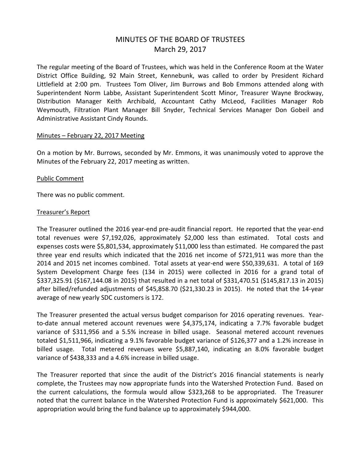# MINUTES OF THE BOARD OF TRUSTEES March 29, 2017

The regular meeting of the Board of Trustees, which was held in the Conference Room at the Water District Office Building, 92 Main Street, Kennebunk, was called to order by President Richard Littlefield at 2:00 pm. Trustees Tom Oliver, Jim Burrows and Bob Emmons attended along with Superintendent Norm Labbe, Assistant Superintendent Scott Minor, Treasurer Wayne Brockway, Distribution Manager Keith Archibald, Accountant Cathy McLeod, Facilities Manager Rob Weymouth, Filtration Plant Manager Bill Snyder, Technical Services Manager Don Gobeil and Administrative Assistant Cindy Rounds.

#### Minutes – February 22, 2017 Meeting

On a motion by Mr. Burrows, seconded by Mr. Emmons, it was unanimously voted to approve the Minutes of the February 22, 2017 meeting as written.

#### Public Comment

There was no public comment.

#### Treasurer's Report

The Treasurer outlined the 2016 year-end pre-audit financial report. He reported that the year-end total revenues were \$7,192,026, approximately \$2,000 less than estimated. Total costs and expenses costs were \$5,801,534, approximately \$11,000 less than estimated. He compared the past three year end results which indicated that the 2016 net income of \$721,911 was more than the 2014 and 2015 net incomes combined. Total assets at year-end were \$50,339,631. A total of 169 System Development Charge fees (134 in 2015) were collected in 2016 for a grand total of \$337,325.91 (\$167,144.08 in 2015) that resulted in a net total of \$331,470.51 (\$145,817.13 in 2015) after billed/refunded adjustments of \$45,858.70 (\$21,330.23 in 2015). He noted that the 14-year average of new yearly SDC customers is 172.

The Treasurer presented the actual versus budget comparison for 2016 operating revenues. Yearto-date annual metered account revenues were \$4,375,174, indicating a 7.7% favorable budget variance of \$311,956 and a 5.5% increase in billed usage. Seasonal metered account revenues totaled \$1,511,966, indicating a 9.1% favorable budget variance of \$126,377 and a 1.2% increase in billed usage. Total metered revenues were \$5,887,140, indicating an 8.0% favorable budget variance of \$438,333 and a 4.6% increase in billed usage.

The Treasurer reported that since the audit of the District's 2016 financial statements is nearly complete, the Trustees may now appropriate funds into the Watershed Protection Fund. Based on the current calculations, the formula would allow \$323,268 to be appropriated. The Treasurer noted that the current balance in the Watershed Protection Fund is approximately \$621,000. This appropriation would bring the fund balance up to approximately \$944,000.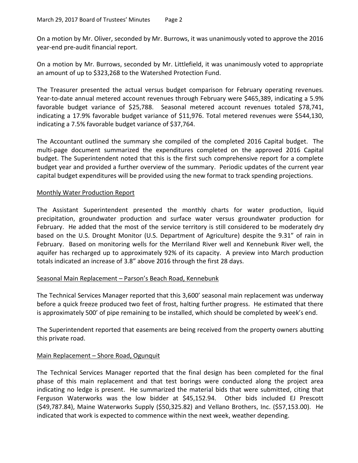On a motion by Mr. Oliver, seconded by Mr. Burrows, it was unanimously voted to approve the 2016 year-end pre-audit financial report.

On a motion by Mr. Burrows, seconded by Mr. Littlefield, it was unanimously voted to appropriate an amount of up to \$323,268 to the Watershed Protection Fund.

The Treasurer presented the actual versus budget comparison for February operating revenues. Year-to-date annual metered account revenues through February were \$465,389, indicating a 5.9% favorable budget variance of \$25,788. Seasonal metered account revenues totaled \$78,741, indicating a 17.9% favorable budget variance of \$11,976. Total metered revenues were \$544,130, indicating a 7.5% favorable budget variance of \$37,764.

The Accountant outlined the summary she compiled of the completed 2016 Capital budget. The multi-page document summarized the expenditures completed on the approved 2016 Capital budget. The Superintendent noted that this is the first such comprehensive report for a complete budget year and provided a further overview of the summary. Periodic updates of the current year capital budget expenditures will be provided using the new format to track spending projections.

## Monthly Water Production Report

The Assistant Superintendent presented the monthly charts for water production, liquid precipitation, groundwater production and surface water versus groundwater production for February. He added that the most of the service territory is still considered to be moderately dry based on the U.S. Drought Monitor (U.S. Department of Agriculture) despite the 9.31" of rain in February. Based on monitoring wells for the Merriland River well and Kennebunk River well, the aquifer has recharged up to approximately 92% of its capacity. A preview into March production totals indicated an increase of 3.8" above 2016 through the first 28 days.

## Seasonal Main Replacement – Parson's Beach Road, Kennebunk

The Technical Services Manager reported that this 3,600' seasonal main replacement was underway before a quick freeze produced two feet of frost, halting further progress. He estimated that there is approximately 500' of pipe remaining to be installed, which should be completed by week's end.

The Superintendent reported that easements are being received from the property owners abutting this private road.

## Main Replacement – Shore Road, Ogunquit

The Technical Services Manager reported that the final design has been completed for the final phase of this main replacement and that test borings were conducted along the project area indicating no ledge is present. He summarized the material bids that were submitted, citing that Ferguson Waterworks was the low bidder at \$45,152.94. Other bids included EJ Prescott (\$49,787.84), Maine Waterworks Supply (\$50,325.82) and Vellano Brothers, Inc. (\$57,153.00). He indicated that work is expected to commence within the next week, weather depending.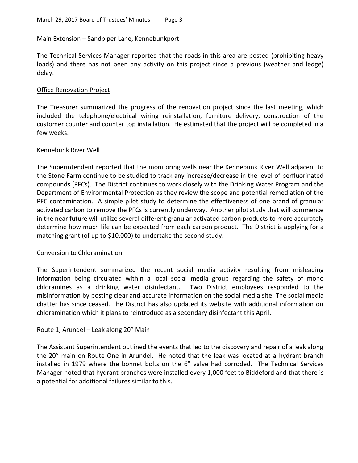### Main Extension – Sandpiper Lane, Kennebunkport

The Technical Services Manager reported that the roads in this area are posted (prohibiting heavy loads) and there has not been any activity on this project since a previous (weather and ledge) delay.

#### Office Renovation Project

The Treasurer summarized the progress of the renovation project since the last meeting, which included the telephone/electrical wiring reinstallation, furniture delivery, construction of the customer counter and counter top installation. He estimated that the project will be completed in a few weeks.

#### Kennebunk River Well

The Superintendent reported that the monitoring wells near the Kennebunk River Well adjacent to the Stone Farm continue to be studied to track any increase/decrease in the level of perfluorinated compounds (PFCs). The District continues to work closely with the Drinking Water Program and the Department of Environmental Protection as they review the scope and potential remediation of the PFC contamination. A simple pilot study to determine the effectiveness of one brand of granular activated carbon to remove the PFCs is currently underway. Another pilot study that will commence in the near future will utilize several different granular activated carbon products to more accurately determine how much life can be expected from each carbon product. The District is applying for a matching grant (of up to \$10,000) to undertake the second study.

## Conversion to Chloramination

The Superintendent summarized the recent social media activity resulting from misleading information being circulated within a local social media group regarding the safety of mono chloramines as a drinking water disinfectant. Two District employees responded to the misinformation by posting clear and accurate information on the social media site. The social media chatter has since ceased. The District has also updated its website with additional information on chloramination which it plans to reintroduce as a secondary disinfectant this April.

## Route 1, Arundel – Leak along 20" Main

The Assistant Superintendent outlined the events that led to the discovery and repair of a leak along the 20" main on Route One in Arundel. He noted that the leak was located at a hydrant branch installed in 1979 where the bonnet bolts on the 6" valve had corroded. The Technical Services Manager noted that hydrant branches were installed every 1,000 feet to Biddeford and that there is a potential for additional failures similar to this.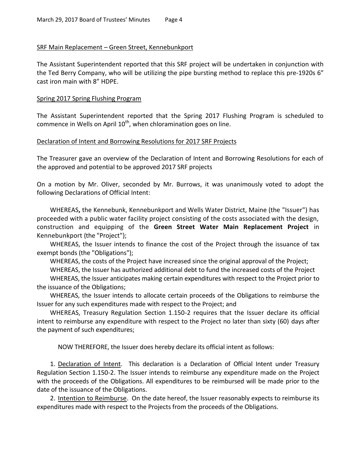### SRF Main Replacement – Green Street, Kennebunkport

The Assistant Superintendent reported that this SRF project will be undertaken in conjunction with the Ted Berry Company, who will be utilizing the pipe bursting method to replace this pre-1920s 6" cast iron main with 8" HDPE.

### Spring 2017 Spring Flushing Program

The Assistant Superintendent reported that the Spring 2017 Flushing Program is scheduled to commence in Wells on April  $10^{th}$ , when chloramination goes on line.

## Declaration of Intent and Borrowing Resolutions for 2017 SRF Projects

The Treasurer gave an overview of the Declaration of Intent and Borrowing Resolutions for each of the approved and potential to be approved 2017 SRF projects

On a motion by Mr. Oliver, seconded by Mr. Burrows, it was unanimously voted to adopt the following Declarations of Official Intent:

WHEREAS**,** the Kennebunk, Kennebunkport and Wells Water District, Maine (the "Issuer") has proceeded with a public water facility project consisting of the costs associated with the design, construction and equipping of the **Green Street Water Main Replacement Project** in Kennebunkport (the "Project");

WHEREAS, the Issuer intends to finance the cost of the Project through the issuance of tax exempt bonds (the "Obligations");

WHEREAS, the costs of the Project have increased since the original approval of the Project;

WHEREAS, the Issuer has authorized additional debt to fund the increased costs of the Project

WHEREAS, the Issuer anticipates making certain expenditures with respect to the Project prior to the issuance of the Obligations;

WHEREAS, the Issuer intends to allocate certain proceeds of the Obligations to reimburse the Issuer for any such expenditures made with respect to the Project; and

WHEREAS, Treasury Regulation Section 1.150-2 requires that the Issuer declare its official intent to reimburse any expenditure with respect to the Project no later than sixty (60) days after the payment of such expenditures;

NOW THEREFORE, the Issuer does hereby declare its official intent as follows:

1. Declaration of Intent. This declaration is a Declaration of Official Intent under Treasury Regulation Section 1.150-2. The Issuer intends to reimburse any expenditure made on the Project with the proceeds of the Obligations. All expenditures to be reimbursed will be made prior to the date of the issuance of the Obligations.

2. Intention to Reimburse. On the date hereof, the Issuer reasonably expects to reimburse its expenditures made with respect to the Projects from the proceeds of the Obligations.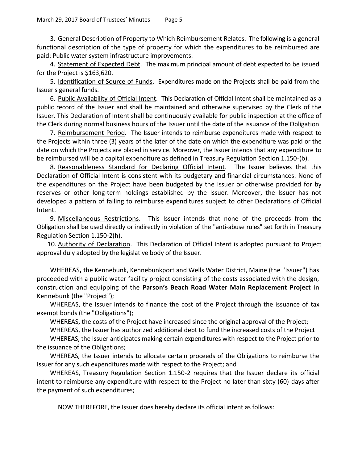3. General Description of Property to Which Reimbursement Relates. The following is a general functional description of the type of property for which the expenditures to be reimbursed are paid: Public water system infrastructure improvements.

4. Statement of Expected Debt. The maximum principal amount of debt expected to be issued for the Project is \$163,620.

5. Identification of Source of Funds. Expenditures made on the Projects shall be paid from the Issuer's general funds.

6. Public Availability of Official Intent. This Declaration of Official Intent shall be maintained as a public record of the Issuer and shall be maintained and otherwise supervised by the Clerk of the Issuer. This Declaration of Intent shall be continuously available for public inspection at the office of the Clerk during normal business hours of the Issuer until the date of the issuance of the Obligation.

7. Reimbursement Period. The Issuer intends to reimburse expenditures made with respect to the Projects within three (3) years of the later of the date on which the expenditure was paid or the date on which the Projects are placed in service. Moreover, the Issuer intends that any expenditure to be reimbursed will be a capital expenditure as defined in Treasury Regulation Section 1.150-(b).

8. Reasonableness Standard for Declaring Official Intent. The Issuer believes that this Declaration of Official Intent is consistent with its budgetary and financial circumstances. None of the expenditures on the Project have been budgeted by the Issuer or otherwise provided for by reserves or other long-term holdings established by the Issuer. Moreover, the Issuer has not developed a pattern of failing to reimburse expenditures subject to other Declarations of Official Intent.

9. Miscellaneous Restrictions. This Issuer intends that none of the proceeds from the Obligation shall be used directly or indirectly in violation of the "anti-abuse rules" set forth in Treasury Regulation Section 1.150-2(h).

10. Authority of Declaration. This Declaration of Official Intent is adopted pursuant to Project approval duly adopted by the legislative body of the Issuer.

WHEREAS**,** the Kennebunk, Kennebunkport and Wells Water District, Maine (the "Issuer") has proceeded with a public water facility project consisting of the costs associated with the design, construction and equipping of the **Parson's Beach Road Water Main Replacement Project** in Kennebunk (the "Project");

WHEREAS, the Issuer intends to finance the cost of the Project through the issuance of tax exempt bonds (the "Obligations");

WHEREAS, the costs of the Project have increased since the original approval of the Project;

WHEREAS, the Issuer has authorized additional debt to fund the increased costs of the Project

WHEREAS, the Issuer anticipates making certain expenditures with respect to the Project prior to the issuance of the Obligations;

WHEREAS, the Issuer intends to allocate certain proceeds of the Obligations to reimburse the Issuer for any such expenditures made with respect to the Project; and

WHEREAS, Treasury Regulation Section 1.150-2 requires that the Issuer declare its official intent to reimburse any expenditure with respect to the Project no later than sixty (60) days after the payment of such expenditures;

NOW THEREFORE, the Issuer does hereby declare its official intent as follows: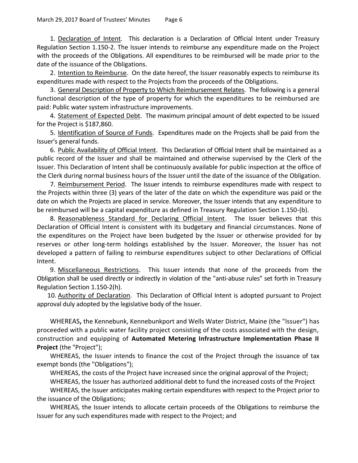1. Declaration of Intent. This declaration is a Declaration of Official Intent under Treasury Regulation Section 1.150-2. The Issuer intends to reimburse any expenditure made on the Project with the proceeds of the Obligations. All expenditures to be reimbursed will be made prior to the date of the issuance of the Obligations.

2. Intention to Reimburse. On the date hereof, the Issuer reasonably expects to reimburse its expenditures made with respect to the Projects from the proceeds of the Obligations.

3. General Description of Property to Which Reimbursement Relates. The following is a general functional description of the type of property for which the expenditures to be reimbursed are paid: Public water system infrastructure improvements.

4. Statement of Expected Debt. The maximum principal amount of debt expected to be issued for the Project is \$187,860.

5. Identification of Source of Funds. Expenditures made on the Projects shall be paid from the Issuer's general funds.

6. Public Availability of Official Intent. This Declaration of Official Intent shall be maintained as a public record of the Issuer and shall be maintained and otherwise supervised by the Clerk of the Issuer. This Declaration of Intent shall be continuously available for public inspection at the office of the Clerk during normal business hours of the Issuer until the date of the issuance of the Obligation.

7. Reimbursement Period. The Issuer intends to reimburse expenditures made with respect to the Projects within three (3) years of the later of the date on which the expenditure was paid or the date on which the Projects are placed in service. Moreover, the Issuer intends that any expenditure to be reimbursed will be a capital expenditure as defined in Treasury Regulation Section 1.150-(b).

8. Reasonableness Standard for Declaring Official Intent. The Issuer believes that this Declaration of Official Intent is consistent with its budgetary and financial circumstances. None of the expenditures on the Project have been budgeted by the Issuer or otherwise provided for by reserves or other long-term holdings established by the Issuer. Moreover, the Issuer has not developed a pattern of failing to reimburse expenditures subject to other Declarations of Official Intent.

9. Miscellaneous Restrictions. This Issuer intends that none of the proceeds from the Obligation shall be used directly or indirectly in violation of the "anti-abuse rules" set forth in Treasury Regulation Section 1.150-2(h).

10. Authority of Declaration. This Declaration of Official Intent is adopted pursuant to Project approval duly adopted by the legislative body of the Issuer.

WHEREAS**,** the Kennebunk, Kennebunkport and Wells Water District, Maine (the "Issuer") has proceeded with a public water facility project consisting of the costs associated with the design, construction and equipping of **Automated Metering Infrastructure Implementation Phase II Project** (the "Project");

WHEREAS, the Issuer intends to finance the cost of the Project through the issuance of tax exempt bonds (the "Obligations");

WHEREAS, the costs of the Project have increased since the original approval of the Project; WHEREAS, the Issuer has authorized additional debt to fund the increased costs of the Project

WHEREAS, the Issuer anticipates making certain expenditures with respect to the Project prior to the issuance of the Obligations;

WHEREAS, the Issuer intends to allocate certain proceeds of the Obligations to reimburse the Issuer for any such expenditures made with respect to the Project; and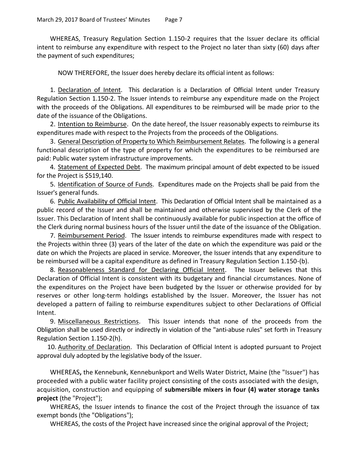WHEREAS, Treasury Regulation Section 1.150-2 requires that the Issuer declare its official intent to reimburse any expenditure with respect to the Project no later than sixty (60) days after the payment of such expenditures;

NOW THEREFORE, the Issuer does hereby declare its official intent as follows:

1. Declaration of Intent. This declaration is a Declaration of Official Intent under Treasury Regulation Section 1.150-2. The Issuer intends to reimburse any expenditure made on the Project with the proceeds of the Obligations. All expenditures to be reimbursed will be made prior to the date of the issuance of the Obligations.

2. Intention to Reimburse. On the date hereof, the Issuer reasonably expects to reimburse its expenditures made with respect to the Projects from the proceeds of the Obligations.

3. General Description of Property to Which Reimbursement Relates. The following is a general functional description of the type of property for which the expenditures to be reimbursed are paid: Public water system infrastructure improvements.

4. Statement of Expected Debt. The maximum principal amount of debt expected to be issued for the Project is \$519,140.

5. Identification of Source of Funds. Expenditures made on the Projects shall be paid from the Issuer's general funds.

6. Public Availability of Official Intent. This Declaration of Official Intent shall be maintained as a public record of the Issuer and shall be maintained and otherwise supervised by the Clerk of the Issuer. This Declaration of Intent shall be continuously available for public inspection at the office of the Clerk during normal business hours of the Issuer until the date of the issuance of the Obligation.

7. Reimbursement Period. The Issuer intends to reimburse expenditures made with respect to the Projects within three (3) years of the later of the date on which the expenditure was paid or the date on which the Projects are placed in service. Moreover, the Issuer intends that any expenditure to be reimbursed will be a capital expenditure as defined in Treasury Regulation Section 1.150-(b).

8. Reasonableness Standard for Declaring Official Intent. The Issuer believes that this Declaration of Official Intent is consistent with its budgetary and financial circumstances. None of the expenditures on the Project have been budgeted by the Issuer or otherwise provided for by reserves or other long-term holdings established by the Issuer. Moreover, the Issuer has not developed a pattern of failing to reimburse expenditures subject to other Declarations of Official Intent.

9. Miscellaneous Restrictions. This Issuer intends that none of the proceeds from the Obligation shall be used directly or indirectly in violation of the "anti-abuse rules" set forth in Treasury Regulation Section 1.150-2(h).

10. Authority of Declaration. This Declaration of Official Intent is adopted pursuant to Project approval duly adopted by the legislative body of the Issuer.

WHEREAS**,** the Kennebunk, Kennebunkport and Wells Water District, Maine (the "Issuer") has proceeded with a public water facility project consisting of the costs associated with the design, acquisition, construction and equipping of **submersible mixers in four (4) water storage tanks project** (the "Project");

WHEREAS, the Issuer intends to finance the cost of the Project through the issuance of tax exempt bonds (the "Obligations");

WHEREAS, the costs of the Project have increased since the original approval of the Project;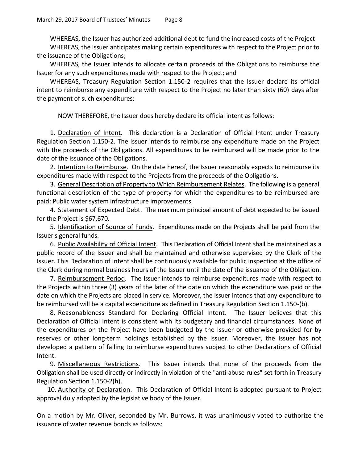WHEREAS, the Issuer has authorized additional debt to fund the increased costs of the Project

WHEREAS, the Issuer anticipates making certain expenditures with respect to the Project prior to the issuance of the Obligations;

WHEREAS, the Issuer intends to allocate certain proceeds of the Obligations to reimburse the Issuer for any such expenditures made with respect to the Project; and

WHEREAS, Treasury Regulation Section 1.150-2 requires that the Issuer declare its official intent to reimburse any expenditure with respect to the Project no later than sixty (60) days after the payment of such expenditures;

NOW THEREFORE, the Issuer does hereby declare its official intent as follows:

1. Declaration of Intent. This declaration is a Declaration of Official Intent under Treasury Regulation Section 1.150-2. The Issuer intends to reimburse any expenditure made on the Project with the proceeds of the Obligations. All expenditures to be reimbursed will be made prior to the date of the issuance of the Obligations.

2. Intention to Reimburse. On the date hereof, the Issuer reasonably expects to reimburse its expenditures made with respect to the Projects from the proceeds of the Obligations.

3. General Description of Property to Which Reimbursement Relates. The following is a general functional description of the type of property for which the expenditures to be reimbursed are paid: Public water system infrastructure improvements.

4. Statement of Expected Debt. The maximum principal amount of debt expected to be issued for the Project is \$67,670.

5. Identification of Source of Funds. Expenditures made on the Projects shall be paid from the Issuer's general funds.

6. Public Availability of Official Intent. This Declaration of Official Intent shall be maintained as a public record of the Issuer and shall be maintained and otherwise supervised by the Clerk of the Issuer. This Declaration of Intent shall be continuously available for public inspection at the office of the Clerk during normal business hours of the Issuer until the date of the issuance of the Obligation.

7. Reimbursement Period. The Issuer intends to reimburse expenditures made with respect to the Projects within three (3) years of the later of the date on which the expenditure was paid or the date on which the Projects are placed in service. Moreover, the Issuer intends that any expenditure to be reimbursed will be a capital expenditure as defined in Treasury Regulation Section 1.150-(b).

8. Reasonableness Standard for Declaring Official Intent. The Issuer believes that this Declaration of Official Intent is consistent with its budgetary and financial circumstances. None of the expenditures on the Project have been budgeted by the Issuer or otherwise provided for by reserves or other long-term holdings established by the Issuer. Moreover, the Issuer has not developed a pattern of failing to reimburse expenditures subject to other Declarations of Official Intent.

9. Miscellaneous Restrictions. This Issuer intends that none of the proceeds from the Obligation shall be used directly or indirectly in violation of the "anti-abuse rules" set forth in Treasury Regulation Section 1.150-2(h).

10. Authority of Declaration. This Declaration of Official Intent is adopted pursuant to Project approval duly adopted by the legislative body of the Issuer.

On a motion by Mr. Oliver, seconded by Mr. Burrows, it was unanimously voted to authorize the issuance of water revenue bonds as follows: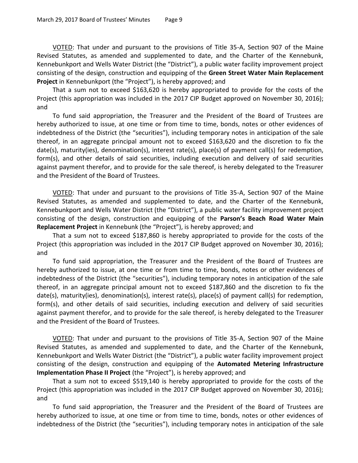VOTED: That under and pursuant to the provisions of Title 35-A, Section 907 of the Maine Revised Statutes, as amended and supplemented to date, and the Charter of the Kennebunk, Kennebunkport and Wells Water District (the "District"), a public water facility improvement project consisting of the design, construction and equipping of the **Green Street Water Main Replacement Project** in Kennebunkport (the "Project"), is hereby approved; and

That a sum not to exceed \$163,620 is hereby appropriated to provide for the costs of the Project (this appropriation was included in the 2017 CIP Budget approved on November 30, 2016); and

To fund said appropriation, the Treasurer and the President of the Board of Trustees are hereby authorized to issue, at one time or from time to time, bonds, notes or other evidences of indebtedness of the District (the "securities"), including temporary notes in anticipation of the sale thereof, in an aggregate principal amount not to exceed \$163,620 and the discretion to fix the date(s), maturity(ies), denomination(s), interest rate(s), place(s) of payment call(s) for redemption, form(s), and other details of said securities, including execution and delivery of said securities against payment therefor, and to provide for the sale thereof, is hereby delegated to the Treasurer and the President of the Board of Trustees.

VOTED: That under and pursuant to the provisions of Title 35-A, Section 907 of the Maine Revised Statutes, as amended and supplemented to date, and the Charter of the Kennebunk, Kennebunkport and Wells Water District (the "District"), a public water facility improvement project consisting of the design, construction and equipping of the **Parson's Beach Road Water Main Replacement Project** in Kennebunk (the "Project"), is hereby approved; and

That a sum not to exceed \$187,860 is hereby appropriated to provide for the costs of the Project (this appropriation was included in the 2017 CIP Budget approved on November 30, 2016); and

To fund said appropriation, the Treasurer and the President of the Board of Trustees are hereby authorized to issue, at one time or from time to time, bonds, notes or other evidences of indebtedness of the District (the "securities"), including temporary notes in anticipation of the sale thereof, in an aggregate principal amount not to exceed \$187,860 and the discretion to fix the date(s), maturity(ies), denomination(s), interest rate(s), place(s) of payment call(s) for redemption, form(s), and other details of said securities, including execution and delivery of said securities against payment therefor, and to provide for the sale thereof, is hereby delegated to the Treasurer and the President of the Board of Trustees.

VOTED: That under and pursuant to the provisions of Title 35-A, Section 907 of the Maine Revised Statutes, as amended and supplemented to date, and the Charter of the Kennebunk, Kennebunkport and Wells Water District (the "District"), a public water facility improvement project consisting of the design, construction and equipping of the **Automated Metering Infrastructure Implementation Phase II Project** (the "Project"), is hereby approved; and

That a sum not to exceed \$519,140 is hereby appropriated to provide for the costs of the Project (this appropriation was included in the 2017 CIP Budget approved on November 30, 2016); and

To fund said appropriation, the Treasurer and the President of the Board of Trustees are hereby authorized to issue, at one time or from time to time, bonds, notes or other evidences of indebtedness of the District (the "securities"), including temporary notes in anticipation of the sale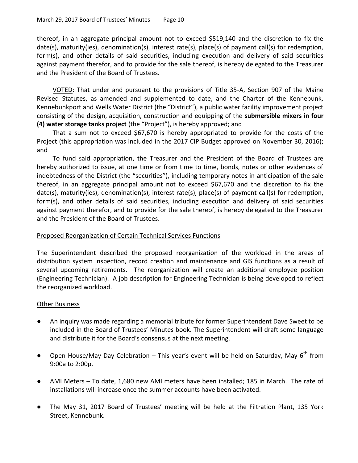thereof, in an aggregate principal amount not to exceed \$519,140 and the discretion to fix the date(s), maturity(ies), denomination(s), interest rate(s), place(s) of payment call(s) for redemption, form(s), and other details of said securities, including execution and delivery of said securities against payment therefor, and to provide for the sale thereof, is hereby delegated to the Treasurer and the President of the Board of Trustees.

VOTED: That under and pursuant to the provisions of Title 35-A, Section 907 of the Maine Revised Statutes, as amended and supplemented to date, and the Charter of the Kennebunk, Kennebunkport and Wells Water District (the "District"), a public water facility improvement project consisting of the design, acquisition, construction and equipping of the **submersible mixers in four (4) water storage tanks project** (the "Project"), is hereby approved; and

That a sum not to exceed \$67,670 is hereby appropriated to provide for the costs of the Project (this appropriation was included in the 2017 CIP Budget approved on November 30, 2016); and

To fund said appropriation, the Treasurer and the President of the Board of Trustees are hereby authorized to issue, at one time or from time to time, bonds, notes or other evidences of indebtedness of the District (the "securities"), including temporary notes in anticipation of the sale thereof, in an aggregate principal amount not to exceed \$67,670 and the discretion to fix the date(s), maturity(ies), denomination(s), interest rate(s), place(s) of payment call(s) for redemption, form(s), and other details of said securities, including execution and delivery of said securities against payment therefor, and to provide for the sale thereof, is hereby delegated to the Treasurer and the President of the Board of Trustees.

## Proposed Reorganization of Certain Technical Services Functions

The Superintendent described the proposed reorganization of the workload in the areas of distribution system inspection, record creation and maintenance and GIS functions as a result of several upcoming retirements. The reorganization will create an additional employee position (Engineering Technician). A job description for Engineering Technician is being developed to reflect the reorganized workload.

## **Other Business**

- An inquiry was made regarding a memorial tribute for former Superintendent Dave Sweet to be included in the Board of Trustees' Minutes book. The Superintendent will draft some language and distribute it for the Board's consensus at the next meeting.
- Open House/May Day Celebration This year's event will be held on Saturday, May  $6^{th}$  from 9:00a to 2:00p.
- AMI Meters To date, 1,680 new AMI meters have been installed; 185 in March. The rate of installations will increase once the summer accounts have been activated.
- The May 31, 2017 Board of Trustees' meeting will be held at the Filtration Plant, 135 York Street, Kennebunk.